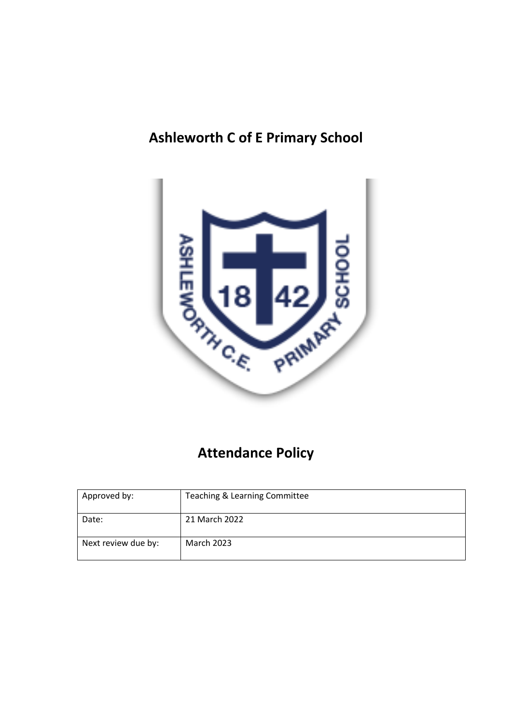## **Ashleworth C of E Primary School**



# **Attendance Policy**

| Approved by:        | Teaching & Learning Committee |
|---------------------|-------------------------------|
| Date:               | 21 March 2022                 |
| Next review due by: | <b>March 2023</b>             |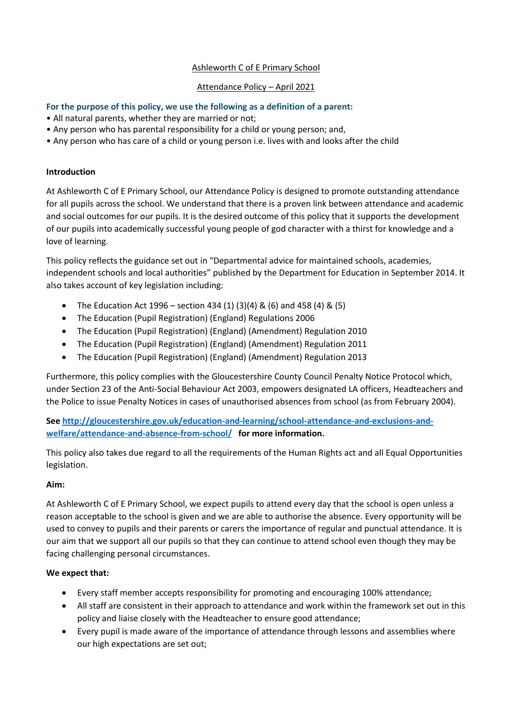## Ashleworth C of E Primary School

## Attendance Policy – April 2021

#### **For the purpose of this policy, we use the following as a definition of a parent:**

- All natural parents, whether they are married or not;
- Any person who has parental responsibility for a child or young person; and,
- Any person who has care of a child or young person i.e. lives with and looks after the child

#### **Introduction**

At Ashleworth C of E Primary School, our Attendance Policy is designed to promote outstanding attendance for all pupils across the school. We understand that there is a proven link between attendance and academic and social outcomes for our pupils. It is the desired outcome of this policy that it supports the development of our pupils into academically successful young people of god character with a thirst for knowledge and a love of learning.

This policy reflects the guidance set out in "Departmental advice for maintained schools, academies, independent schools and local authorities" published by the Department for Education in September 2014. It also takes account of key legislation including:

- The Education Act 1996 section 434 (1) (3)(4) & (6) and 458 (4) & (5)
- The Education (Pupil Registration) (England) Regulations 2006
- The Education (Pupil Registration) (England) (Amendment) Regulation 2010
- The Education (Pupil Registration) (England) (Amendment) Regulation 2011
- The Education (Pupil Registration) (England) (Amendment) Regulation 2013

Furthermore, this policy complies with the Gloucestershire County Council Penalty Notice Protocol which, under Section 23 of the Anti-Social Behaviour Act 2003, empowers designated LA officers, Headteachers and the Police to issue Penalty Notices in cases of unauthorised absences from school (as from February 2004).

**Se[e http://gloucestershire.gov.uk/education-and-learning/school-attendance-and-exclusions-and](http://gloucestershire.gov.uk/education-and-learning/school-attendance-and-exclusions-and-welfare/attendance-and-absence-from-school/)[welfare/attendance-and-absence-from-school/](http://gloucestershire.gov.uk/education-and-learning/school-attendance-and-exclusions-and-welfare/attendance-and-absence-from-school/) for more information.**

This policy also takes due regard to all the requirements of the Human Rights act and all Equal Opportunities legislation.

## **Aim:**

At Ashleworth C of E Primary School, we expect pupils to attend every day that the school is open unless a reason acceptable to the school is given and we are able to authorise the absence. Every opportunity will be used to convey to pupils and their parents or carers the importance of regular and punctual attendance. It is our aim that we support all our pupils so that they can continue to attend school even though they may be facing challenging personal circumstances.

## **We expect that:**

- Every staff member accepts responsibility for promoting and encouraging 100% attendance;
- All staff are consistent in their approach to attendance and work within the framework set out in this policy and liaise closely with the Headteacher to ensure good attendance;
- Every pupil is made aware of the importance of attendance through lessons and assemblies where our high expectations are set out;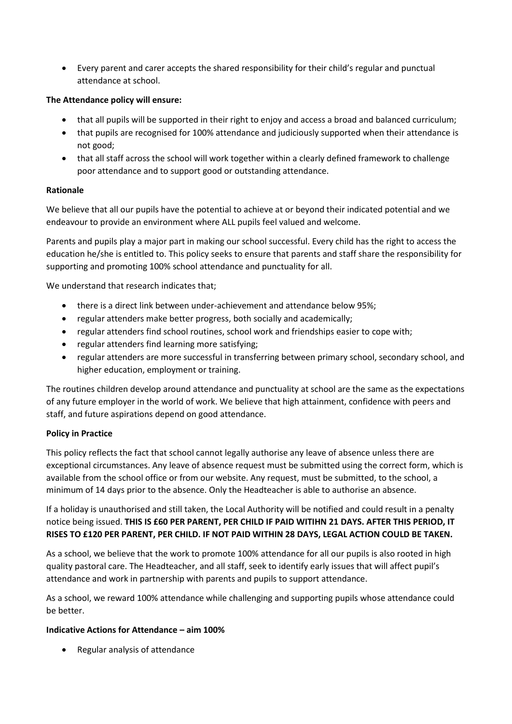• Every parent and carer accepts the shared responsibility for their child's regular and punctual attendance at school.

## **The Attendance policy will ensure:**

- that all pupils will be supported in their right to enjoy and access a broad and balanced curriculum;
- that pupils are recognised for 100% attendance and judiciously supported when their attendance is not good;
- that all staff across the school will work together within a clearly defined framework to challenge poor attendance and to support good or outstanding attendance.

## **Rationale**

We believe that all our pupils have the potential to achieve at or beyond their indicated potential and we endeavour to provide an environment where ALL pupils feel valued and welcome.

Parents and pupils play a major part in making our school successful. Every child has the right to access the education he/she is entitled to. This policy seeks to ensure that parents and staff share the responsibility for supporting and promoting 100% school attendance and punctuality for all.

We understand that research indicates that;

- there is a direct link between under-achievement and attendance below 95%;
- regular attenders make better progress, both socially and academically;
- regular attenders find school routines, school work and friendships easier to cope with;
- regular attenders find learning more satisfying;
- regular attenders are more successful in transferring between primary school, secondary school, and higher education, employment or training.

The routines children develop around attendance and punctuality at school are the same as the expectations of any future employer in the world of work. We believe that high attainment, confidence with peers and staff, and future aspirations depend on good attendance.

## **Policy in Practice**

This policy reflects the fact that school cannot legally authorise any leave of absence unless there are exceptional circumstances. Any leave of absence request must be submitted using the correct form, which is available from the school office or from our website. Any request, must be submitted, to the school, a minimum of 14 days prior to the absence. Only the Headteacher is able to authorise an absence.

If a holiday is unauthorised and still taken, the Local Authority will be notified and could result in a penalty notice being issued. **THIS IS £60 PER PARENT, PER CHILD IF PAID WITIHN 21 DAYS. AFTER THIS PERIOD, IT RISES TO £120 PER PARENT, PER CHILD. IF NOT PAID WITHIN 28 DAYS, LEGAL ACTION COULD BE TAKEN.** 

As a school, we believe that the work to promote 100% attendance for all our pupils is also rooted in high quality pastoral care. The Headteacher, and all staff, seek to identify early issues that will affect pupil's attendance and work in partnership with parents and pupils to support attendance.

As a school, we reward 100% attendance while challenging and supporting pupils whose attendance could be better.

## **Indicative Actions for Attendance – aim 100%**

• Regular analysis of attendance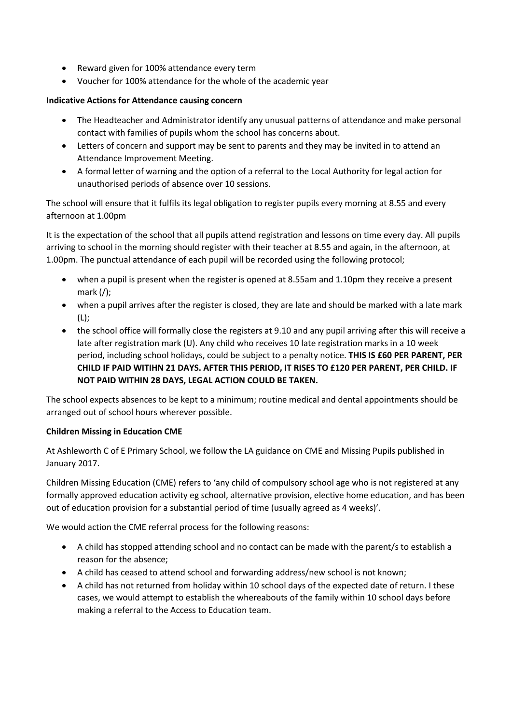- Reward given for 100% attendance every term
- Voucher for 100% attendance for the whole of the academic year

## **Indicative Actions for Attendance causing concern**

- The Headteacher and Administrator identify any unusual patterns of attendance and make personal contact with families of pupils whom the school has concerns about.
- Letters of concern and support may be sent to parents and they may be invited in to attend an Attendance Improvement Meeting.
- A formal letter of warning and the option of a referral to the Local Authority for legal action for unauthorised periods of absence over 10 sessions.

The school will ensure that it fulfils its legal obligation to register pupils every morning at 8.55 and every afternoon at 1.00pm

It is the expectation of the school that all pupils attend registration and lessons on time every day. All pupils arriving to school in the morning should register with their teacher at 8.55 and again, in the afternoon, at 1.00pm. The punctual attendance of each pupil will be recorded using the following protocol;

- when a pupil is present when the register is opened at 8.55am and 1.10pm they receive a present mark (/);
- when a pupil arrives after the register is closed, they are late and should be marked with a late mark (L);
- the school office will formally close the registers at 9.10 and any pupil arriving after this will receive a late after registration mark (U). Any child who receives 10 late registration marks in a 10 week period, including school holidays, could be subject to a penalty notice. **THIS IS £60 PER PARENT, PER CHILD IF PAID WITIHN 21 DAYS. AFTER THIS PERIOD, IT RISES TO £120 PER PARENT, PER CHILD. IF NOT PAID WITHIN 28 DAYS, LEGAL ACTION COULD BE TAKEN.**

The school expects absences to be kept to a minimum; routine medical and dental appointments should be arranged out of school hours wherever possible.

## **Children Missing in Education CME**

At Ashleworth C of E Primary School, we follow the LA guidance on CME and Missing Pupils published in January 2017.

Children Missing Education (CME) refers to 'any child of compulsory school age who is not registered at any formally approved education activity eg school, alternative provision, elective home education, and has been out of education provision for a substantial period of time (usually agreed as 4 weeks)'.

We would action the CME referral process for the following reasons:

- A child has stopped attending school and no contact can be made with the parent/s to establish a reason for the absence;
- A child has ceased to attend school and forwarding address/new school is not known;
- A child has not returned from holiday within 10 school days of the expected date of return. I these cases, we would attempt to establish the whereabouts of the family within 10 school days before making a referral to the Access to Education team.